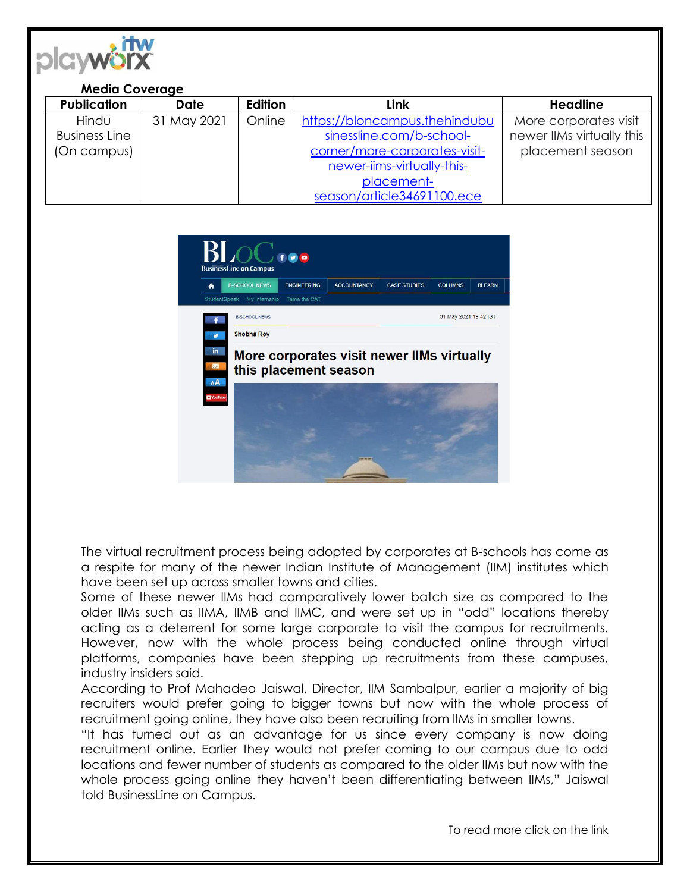

## **Media Coverage**

| <b>Publication</b>   | <b>Date</b> | Edition | Link                          | <b>Headline</b>           |
|----------------------|-------------|---------|-------------------------------|---------------------------|
| Hindu                | 31 May 2021 | Online  | https://bloncampus.thehindubu | More corporates visit     |
| <b>Business Line</b> |             |         | sinessline.com/b-school-      | newer IIMs virtually this |
| (On campus)          |             |         | corner/more-corporates-visit- | placement season          |
|                      |             |         | newer-iims-virtually-this-    |                           |
|                      |             |         | placement-                    |                           |
|                      |             |         | season/article34691100.ece    |                           |



The virtual recruitment process being adopted by corporates at B-schools has come as a respite for many of the newer Indian Institute of Management (IIM) institutes which have been set up across smaller towns and cities.

Some of these newer IIMs had comparatively lower batch size as compared to the older IIMs such as IIMA, IIMB and IIMC, and were set up in "odd" locations thereby acting as a deterrent for some large corporate to visit the campus for recruitments. However, now with the whole process being conducted online through virtual platforms, companies have been stepping up recruitments from these campuses, industry insiders said.

According to Prof Mahadeo Jaiswal, Director, IIM Sambalpur, earlier a majority of big recruiters would prefer going to bigger towns but now with the whole process of recruitment going online, they have also been recruiting from IIMs in smaller towns.

"It has turned out as an advantage for us since every company is now doing recruitment online. Earlier they would not prefer coming to our campus due to odd locations and fewer number of students as compared to the older IIMs but now with the whole process going online they haven't been differentiating between IIMs," Jaiswal told BusinessLine on Campus.

To read more click on the link